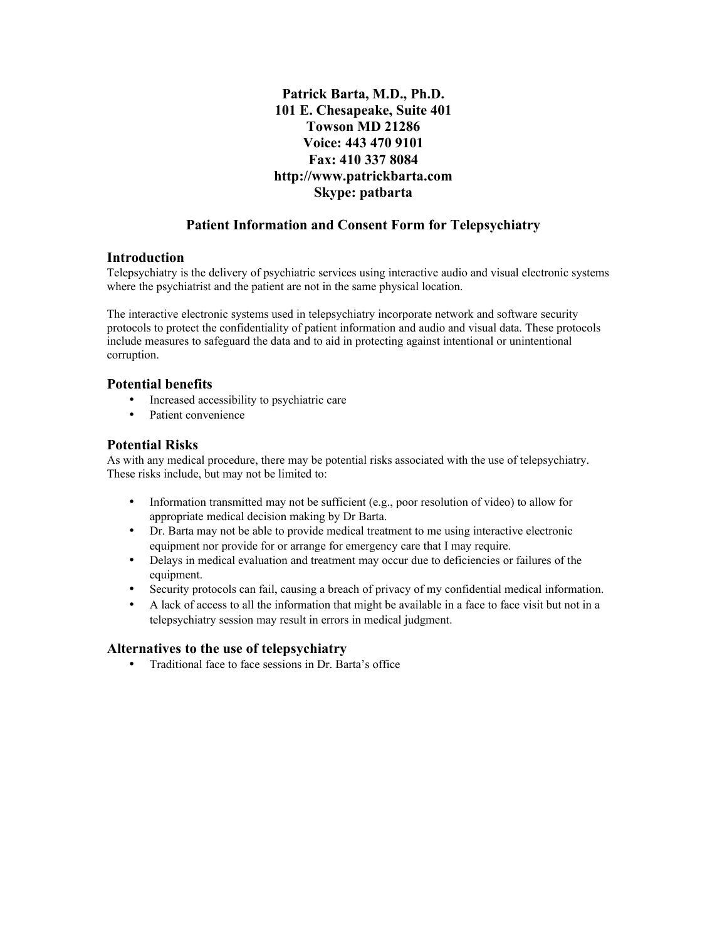# **Patrick Barta, M.D., Ph.D. 101 E. Chesapeake, Suite 401 Towson MD 21286 Voice: 443 470 9101 Fax: 410 337 8084 http://www.patrickbarta.com Skype: patbarta**

# **Patient Information and Consent Form for Telepsychiatry**

#### **Introduction**

Telepsychiatry is the delivery of psychiatric services using interactive audio and visual electronic systems where the psychiatrist and the patient are not in the same physical location.

The interactive electronic systems used in telepsychiatry incorporate network and software security protocols to protect the confidentiality of patient information and audio and visual data. These protocols include measures to safeguard the data and to aid in protecting against intentional or unintentional corruption.

### **Potential benefits**

- Increased accessibility to psychiatric care
- Patient convenience

### **Potential Risks**

As with any medical procedure, there may be potential risks associated with the use of telepsychiatry. These risks include, but may not be limited to:

- Information transmitted may not be sufficient (e.g., poor resolution of video) to allow for appropriate medical decision making by Dr Barta.
- Dr. Barta may not be able to provide medical treatment to me using interactive electronic equipment nor provide for or arrange for emergency care that I may require.
- Delays in medical evaluation and treatment may occur due to deficiencies or failures of the equipment.
- Security protocols can fail, causing a breach of privacy of my confidential medical information.
- A lack of access to all the information that might be available in a face to face visit but not in a telepsychiatry session may result in errors in medical judgment.

#### **Alternatives to the use of telepsychiatry**

• Traditional face to face sessions in Dr. Barta's office